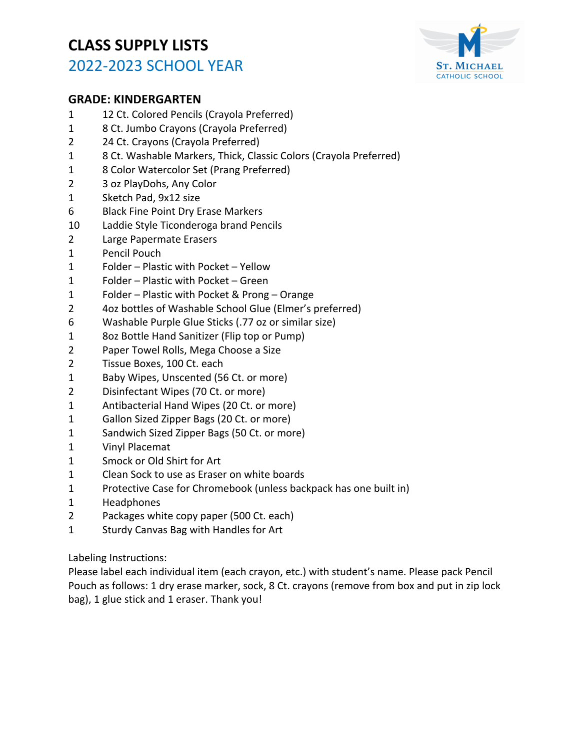

### **GRADE: KINDERGARTEN**

- 12 Ct. Colored Pencils (Crayola Preferred)
- 8 Ct. Jumbo Crayons (Crayola Preferred)
- 24 Ct. Crayons (Crayola Preferred)
- 8 Ct. Washable Markers, Thick, Classic Colors (Crayola Preferred)
- 8 Color Watercolor Set (Prang Preferred)
- 3 oz PlayDohs, Any Color
- Sketch Pad, 9x12 size
- 6 Black Fine Point Dry Erase Markers
- Laddie Style Ticonderoga brand Pencils
- Large Papermate Erasers
- Pencil Pouch
- Folder Plastic with Pocket Yellow
- Folder Plastic with Pocket Green
- Folder Plastic with Pocket & Prong Orange
- 4oz bottles of Washable School Glue (Elmer's preferred)
- Washable Purple Glue Sticks (.77 oz or similar size)
- 8oz Bottle Hand Sanitizer (Flip top or Pump)
- Paper Towel Rolls, Mega Choose a Size
- Tissue Boxes, 100 Ct. each
- Baby Wipes, Unscented (56 Ct. or more)
- Disinfectant Wipes (70 Ct. or more)
- Antibacterial Hand Wipes (20 Ct. or more)
- Gallon Sized Zipper Bags (20 Ct. or more)
- Sandwich Sized Zipper Bags (50 Ct. or more)
- Vinyl Placemat
- Smock or Old Shirt for Art
- Clean Sock to use as Eraser on white boards
- Protective Case for Chromebook (unless backpack has one built in)
- Headphones
- Packages white copy paper (500 Ct. each)
- Sturdy Canvas Bag with Handles for Art

Labeling Instructions:

Please label each individual item (each crayon, etc.) with student's name. Please pack Pencil Pouch as follows: 1 dry erase marker, sock, 8 Ct. crayons (remove from box and put in zip lock bag), 1 glue stick and 1 eraser. Thank you!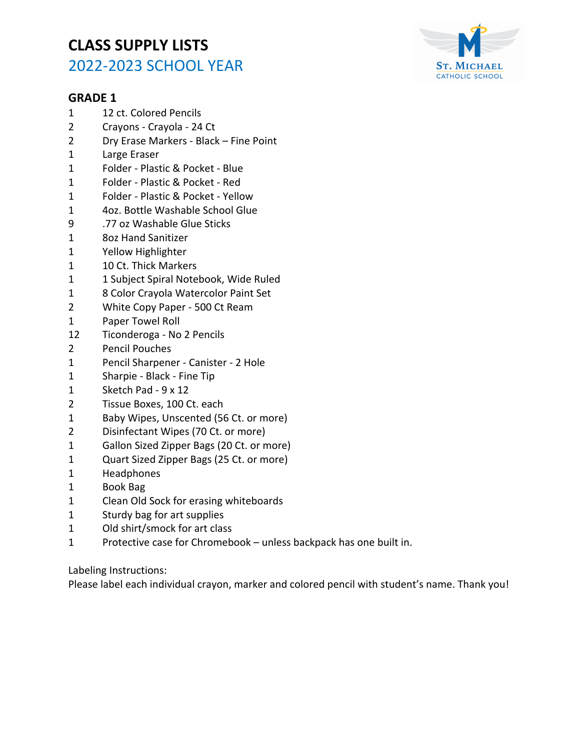

#### **GRADE 1**

- 1 12 ct. Colored Pencils
- 2 Crayons Crayola 24 Ct
- 2 Dry Erase Markers Black Fine Point
- 1 Large Eraser
- 1 Folder Plastic & Pocket Blue
- 1 Folder Plastic & Pocket Red
- 1 Folder Plastic & Pocket Yellow
- 1 4oz. Bottle Washable School Glue
- 9 .77 oz Washable Glue Sticks
- 1 8oz Hand Sanitizer
- 1 Yellow Highlighter
- 1 10 Ct. Thick Markers
- 1 1 Subject Spiral Notebook, Wide Ruled
- 1 8 Color Crayola Watercolor Paint Set
- 2 White Copy Paper 500 Ct Ream
- 1 Paper Towel Roll
- 12 Ticonderoga No 2 Pencils
- 2 Pencil Pouches
- 1 Pencil Sharpener Canister 2 Hole
- 1 Sharpie Black Fine Tip
- 1 Sketch Pad 9 x 12
- 2 Tissue Boxes, 100 Ct. each
- 1 Baby Wipes, Unscented (56 Ct. or more)
- 2 Disinfectant Wipes (70 Ct. or more)
- 1 Gallon Sized Zipper Bags (20 Ct. or more)
- 1 Quart Sized Zipper Bags (25 Ct. or more)
- 1 Headphones
- 1 Book Bag
- 1 Clean Old Sock for erasing whiteboards
- 1 Sturdy bag for art supplies
- 1 Old shirt/smock for art class
- 1 Protective case for Chromebook unless backpack has one built in.

Labeling Instructions:

Please label each individual crayon, marker and colored pencil with student's name. Thank you!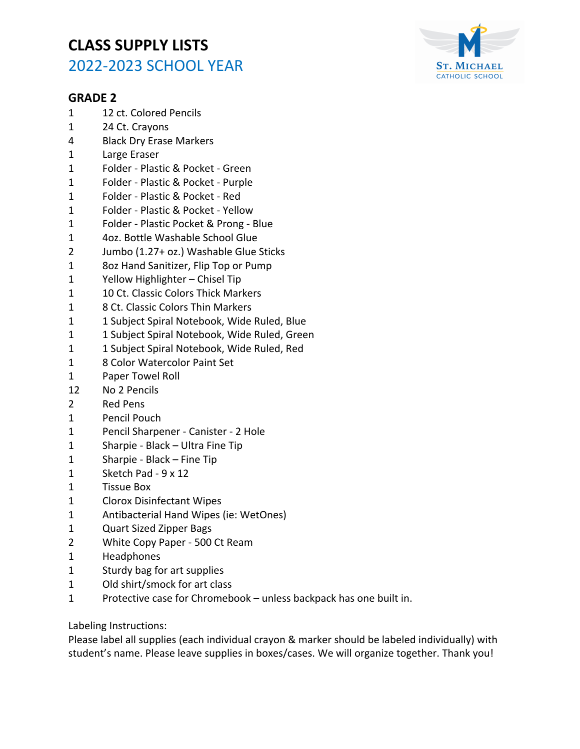

#### **GRADE 2**

- 1 12 ct. Colored Pencils
- 1 24 Ct. Crayons
- 4 Black Dry Erase Markers
- 1 Large Eraser
- 1 Folder Plastic & Pocket Green
- 1 Folder Plastic & Pocket Purple
- 1 Folder Plastic & Pocket Red
- 1 Folder Plastic & Pocket Yellow
- 1 Folder Plastic Pocket & Prong Blue
- 1 4oz. Bottle Washable School Glue
- 2 Jumbo (1.27+ oz.) Washable Glue Sticks
- 1 8oz Hand Sanitizer, Flip Top or Pump
- 1 Yellow Highlighter Chisel Tip
- 1 10 Ct. Classic Colors Thick Markers
- 1 8 Ct. Classic Colors Thin Markers
- 1 1 Subject Spiral Notebook, Wide Ruled, Blue
- 1 1 Subject Spiral Notebook, Wide Ruled, Green
- 1 1 Subject Spiral Notebook, Wide Ruled, Red
- 1 8 Color Watercolor Paint Set
- 1 Paper Towel Roll
- 12 No 2 Pencils
- 2 Red Pens
- 1 Pencil Pouch
- 1 Pencil Sharpener Canister 2 Hole
- 1 Sharpie Black Ultra Fine Tip
- 1 Sharpie Black Fine Tip
- 1 Sketch Pad 9 x 12
- 1 Tissue Box
- 1 Clorox Disinfectant Wipes
- 1 Antibacterial Hand Wipes (ie: WetOnes)
- 1 Quart Sized Zipper Bags
- 2 White Copy Paper 500 Ct Ream
- 1 Headphones
- 1 Sturdy bag for art supplies
- 1 Old shirt/smock for art class
- 1 Protective case for Chromebook unless backpack has one built in.

Labeling Instructions:

Please label all supplies (each individual crayon & marker should be labeled individually) with student's name. Please leave supplies in boxes/cases. We will organize together. Thank you!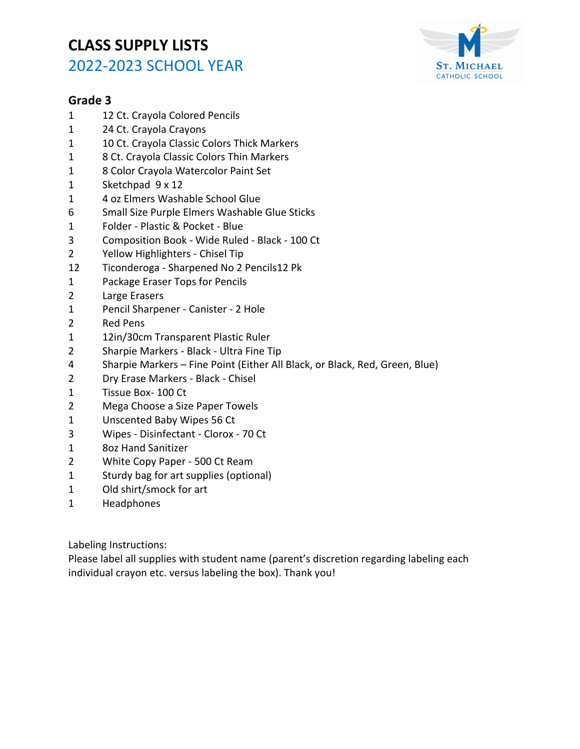

### **Grade 3**

- 1 12 Ct. Crayola Colored Pencils
- 1 24 Ct. Crayola Crayons
- 1 10 Ct. Crayola Classic Colors Thick Markers
- 1 8 Ct. Crayola Classic Colors Thin Markers
- 1 8 Color Crayola Watercolor Paint Set
- 1 Sketchpad 9 x 12
- 1 4 oz Elmers Washable School Glue
- 6 Small Size Purple Elmers Washable Glue Sticks
- 1 Folder Plastic & Pocket Blue
- 3 Composition Book Wide Ruled Black 100 Ct
- 2 Yellow Highlighters Chisel Tip
- 12 Ticonderoga Sharpened No 2 Pencils12 Pk
- 1 Package Eraser Tops for Pencils
- 2 Large Erasers
- 1 Pencil Sharpener Canister 2 Hole
- 2 Red Pens
- 1 12in/30cm Transparent Plastic Ruler
- 2 Sharpie Markers Black Ultra Fine Tip
- 4 Sharpie Markers Fine Point (Either All Black, or Black, Red, Green, Blue)
- 2 Dry Erase Markers Black Chisel
- 1 Tissue Box- 100 Ct
- 2 Mega Choose a Size Paper Towels
- 1 Unscented Baby Wipes 56 Ct
- 3 Wipes Disinfectant Clorox 70 Ct
- 1 8oz Hand Sanitizer
- 2 White Copy Paper 500 Ct Ream
- 1 Sturdy bag for art supplies (optional)
- 1 Old shirt/smock for art
- 1 Headphones

Labeling Instructions:

Please label all supplies with student name (parent's discretion regarding labeling each individual crayon etc. versus labeling the box). Thank you!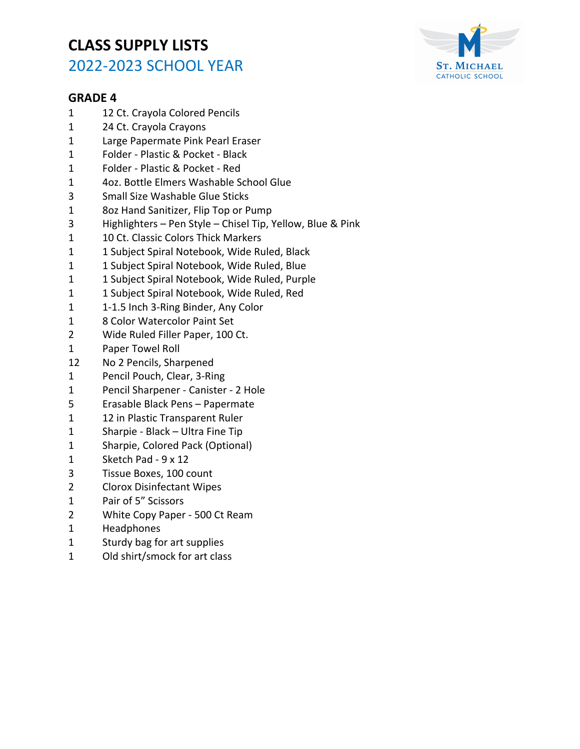

- 1 12 Ct. Crayola Colored Pencils
- 1 24 Ct. Crayola Crayons
- 1 Large Papermate Pink Pearl Eraser
- 1 Folder Plastic & Pocket Black
- 1 Folder Plastic & Pocket Red
- 1 4oz. Bottle Elmers Washable School Glue
- 3 Small Size Washable Glue Sticks
- 1 8oz Hand Sanitizer, Flip Top or Pump
- 3 Highlighters Pen Style Chisel Tip, Yellow, Blue & Pink
- 1 10 Ct. Classic Colors Thick Markers
- 1 1 Subject Spiral Notebook, Wide Ruled, Black
- 1 1 Subject Spiral Notebook, Wide Ruled, Blue
- 1 1 Subject Spiral Notebook, Wide Ruled, Purple
- 1 1 Subject Spiral Notebook, Wide Ruled, Red
- 1 1-1.5 Inch 3-Ring Binder, Any Color
- 1 8 Color Watercolor Paint Set
- 2 Wide Ruled Filler Paper, 100 Ct.
- 1 Paper Towel Roll
- 12 No 2 Pencils, Sharpened
- 1 Pencil Pouch, Clear, 3-Ring
- 1 Pencil Sharpener Canister 2 Hole
- 5 Erasable Black Pens Papermate
- 1 12 in Plastic Transparent Ruler
- 1 Sharpie Black Ultra Fine Tip
- 1 Sharpie, Colored Pack (Optional)
- 1 Sketch Pad 9 x 12
- 3 Tissue Boxes, 100 count
- 2 Clorox Disinfectant Wipes
- 1 Pair of 5" Scissors
- 2 White Copy Paper 500 Ct Ream
- 1 Headphones
- 1 Sturdy bag for art supplies
- 1 Old shirt/smock for art class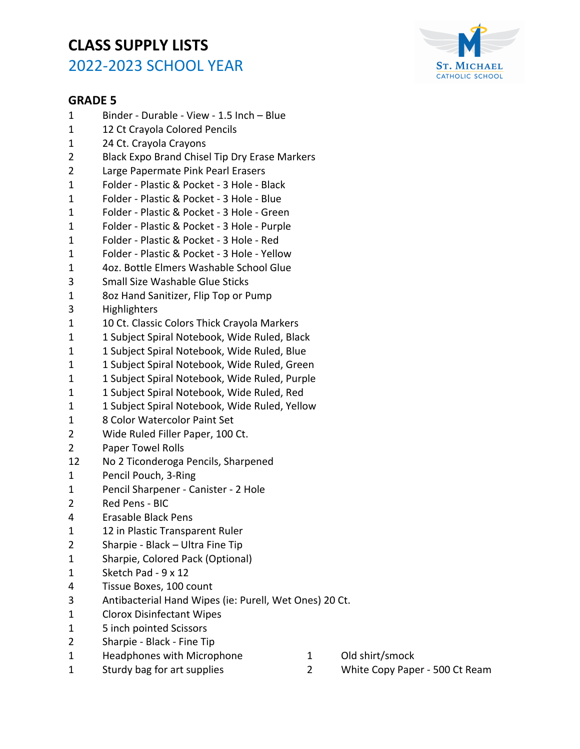

- 1 Binder Durable View 1.5 Inch Blue
- 1 12 Ct Crayola Colored Pencils
- 1 24 Ct. Crayola Crayons
- 2 Black Expo Brand Chisel Tip Dry Erase Markers
- 2 Large Papermate Pink Pearl Erasers
- 1 Folder Plastic & Pocket 3 Hole Black
- 1 Folder Plastic & Pocket 3 Hole Blue
- 1 Folder Plastic & Pocket 3 Hole Green
- 1 Folder Plastic & Pocket 3 Hole Purple
- 1 Folder Plastic & Pocket 3 Hole Red
- 1 Folder Plastic & Pocket 3 Hole Yellow
- 1 4oz. Bottle Elmers Washable School Glue
- 3 Small Size Washable Glue Sticks
- 1 8oz Hand Sanitizer, Flip Top or Pump
- 3 Highlighters
- 1 10 Ct. Classic Colors Thick Crayola Markers
- 1 1 Subject Spiral Notebook, Wide Ruled, Black
- 1 1 Subject Spiral Notebook, Wide Ruled, Blue
- 1 1 Subject Spiral Notebook, Wide Ruled, Green
- 1 1 Subject Spiral Notebook, Wide Ruled, Purple
- 1 1 Subject Spiral Notebook, Wide Ruled, Red
- 1 1 Subject Spiral Notebook, Wide Ruled, Yellow
- 1 8 Color Watercolor Paint Set
- 2 Wide Ruled Filler Paper, 100 Ct.
- 2 Paper Towel Rolls
- 12 No 2 Ticonderoga Pencils, Sharpened
- 1 Pencil Pouch, 3-Ring
- 1 Pencil Sharpener Canister 2 Hole
- 2 Red Pens BIC
- 4 Erasable Black Pens
- 1 12 in Plastic Transparent Ruler
- 2 Sharpie Black Ultra Fine Tip
- 1 Sharpie, Colored Pack (Optional)
- 1 Sketch Pad 9 x 12
- 4 Tissue Boxes, 100 count
- 3 Antibacterial Hand Wipes (ie: Purell, Wet Ones) 20 Ct.
- 1 Clorox Disinfectant Wipes
- 1 5 inch pointed Scissors
- 2 Sharpie Black Fine Tip
- 1 Headphones with Microphone
- 1 Old shirt/smock
- 1 Sturdy bag for art supplies
- 2 White Copy Paper 500 Ct Ream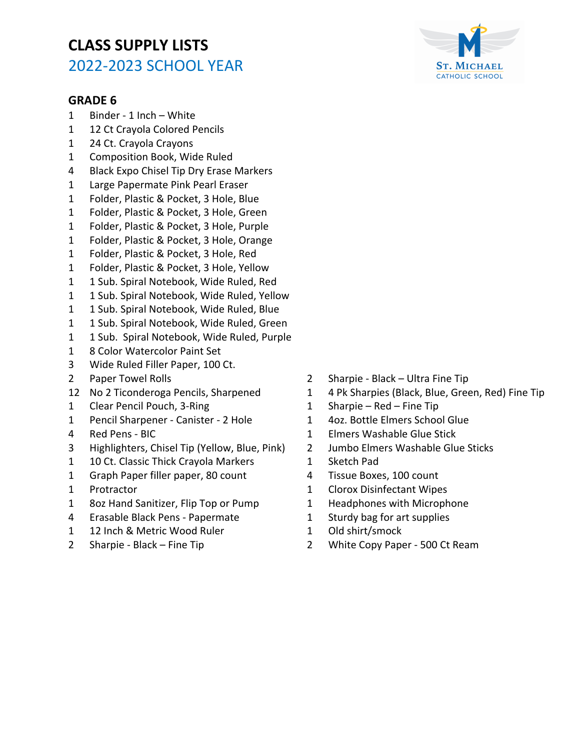- 1 Binder 1 Inch White
- 1 12 Ct Crayola Colored Pencils
- 1 24 Ct. Crayola Crayons
- 1 Composition Book, Wide Ruled
- 4 Black Expo Chisel Tip Dry Erase Markers
- 1 Large Papermate Pink Pearl Eraser
- 1 Folder, Plastic & Pocket, 3 Hole, Blue
- 1 Folder, Plastic & Pocket, 3 Hole, Green
- 1 Folder, Plastic & Pocket, 3 Hole, Purple
- 1 Folder, Plastic & Pocket, 3 Hole, Orange
- 1 Folder, Plastic & Pocket, 3 Hole, Red
- 1 Folder, Plastic & Pocket, 3 Hole, Yellow
- 1 1 Sub. Spiral Notebook, Wide Ruled, Red
- 1 1 Sub. Spiral Notebook, Wide Ruled, Yellow
- 1 1 Sub. Spiral Notebook, Wide Ruled, Blue
- 1 1 Sub. Spiral Notebook, Wide Ruled, Green
- 1 1 Sub. Spiral Notebook, Wide Ruled, Purple
- 1 8 Color Watercolor Paint Set
- 3 Wide Ruled Filler Paper, 100 Ct.
- 2 Paper Towel Rolls
- 12 No 2 Ticonderoga Pencils, Sharpened
- 1 Clear Pencil Pouch, 3-Ring
- 1 Pencil Sharpener Canister 2 Hole
- 4 Red Pens BIC
- 3 Highlighters, Chisel Tip (Yellow, Blue, Pink)
- 1 10 Ct. Classic Thick Crayola Markers
- 1 Graph Paper filler paper, 80 count
- 1 Protractor
- 1 8oz Hand Sanitizer, Flip Top or Pump
- 4 Erasable Black Pens Papermate
- 1 12 Inch & Metric Wood Ruler
- 2 Sharpie Black Fine Tip
- 2 Sharpie Black Ultra Fine Tip
- 1 4 Pk Sharpies (Black, Blue, Green, Red) Fine Tip
- 1 Sharpie Red Fine Tip
- 1 4oz. Bottle Elmers School Glue
- 1 Elmers Washable Glue Stick
- 2 Jumbo Elmers Washable Glue Sticks
- 1 Sketch Pad
- 4 Tissue Boxes, 100 count
- 1 Clorox Disinfectant Wipes
- 1 Headphones with Microphone
- 1 Sturdy bag for art supplies
- 1 Old shirt/smock
- 2 White Copy Paper 500 Ct Ream

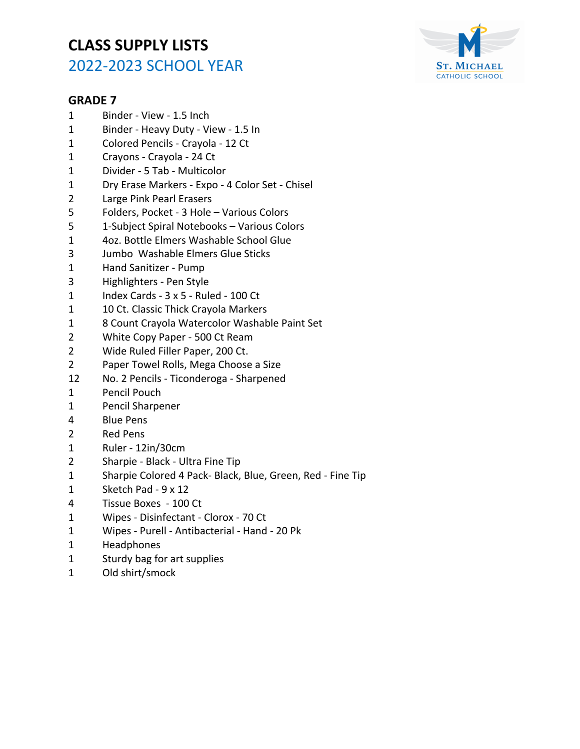

- 1 Binder View 1.5 Inch
- 1 Binder Heavy Duty View 1.5 In
- 1 Colored Pencils Crayola 12 Ct
- 1 Crayons Crayola 24 Ct
- 1 Divider 5 Tab Multicolor
- 1 Dry Erase Markers Expo 4 Color Set Chisel
- 2 Large Pink Pearl Erasers
- 5 Folders, Pocket 3 Hole Various Colors
- 5 1-Subject Spiral Notebooks Various Colors
- 1 4oz. Bottle Elmers Washable School Glue
- 3 Jumbo Washable Elmers Glue Sticks
- 1 Hand Sanitizer Pump
- 3 Highlighters Pen Style
- 1 Index Cards 3 x 5 Ruled 100 Ct
- 1 10 Ct. Classic Thick Crayola Markers
- 1 8 Count Crayola Watercolor Washable Paint Set
- 2 White Copy Paper 500 Ct Ream
- 2 Wide Ruled Filler Paper, 200 Ct.
- 2 Paper Towel Rolls, Mega Choose a Size
- 12 No. 2 Pencils Ticonderoga Sharpened
- 1 Pencil Pouch
- 1 Pencil Sharpener
- 4 Blue Pens
- 2 Red Pens
- 1 Ruler 12in/30cm
- 2 Sharpie Black Ultra Fine Tip
- 1 Sharpie Colored 4 Pack- Black, Blue, Green, Red Fine Tip
- 1 Sketch Pad 9 x 12
- 4 Tissue Boxes 100 Ct
- 1 Wipes Disinfectant Clorox 70 Ct
- 1 Wipes Purell Antibacterial Hand 20 Pk
- 1 Headphones
- 1 Sturdy bag for art supplies
- 1 Old shirt/smock